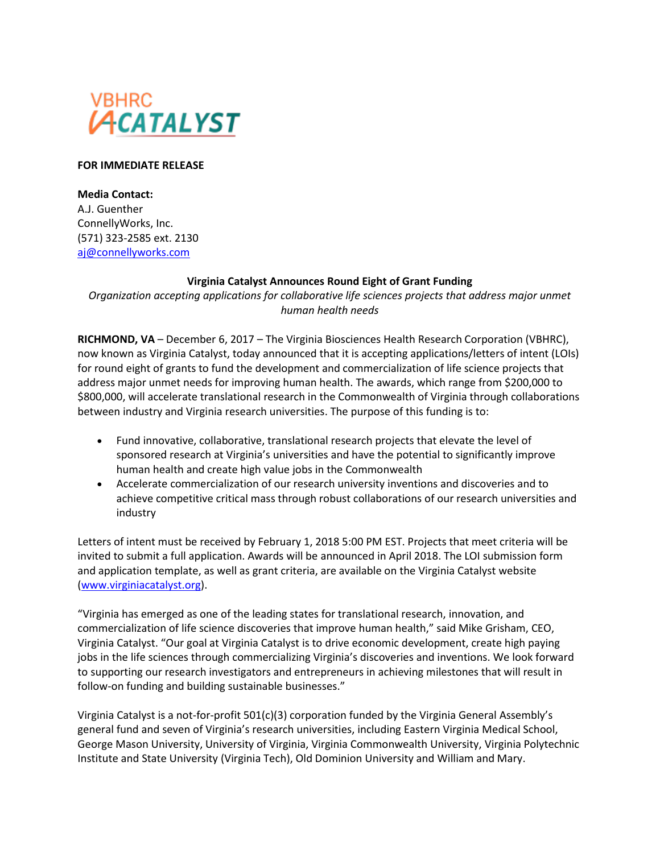

## **FOR IMMEDIATE RELEASE**

## **Media Contact:** A.J. Guenther ConnellyWorks, Inc. (571) 323-2585 ext. 2130 [aj@connellyworks.com](mailto:aj@connellyworks.com)

## **Virginia Catalyst Announces Round Eight of Grant Funding**

*Organization accepting applications for collaborative life sciences projects that address major unmet human health needs*

**RICHMOND, VA** – December 6, 2017 – The Virginia Biosciences Health Research Corporation (VBHRC), now known as Virginia Catalyst, today announced that it is accepting applications/letters of intent (LOIs) for round eight of grants to fund the development and commercialization of life science projects that address major unmet needs for improving human health. The awards, which range from \$200,000 to \$800,000, will accelerate translational research in the Commonwealth of Virginia through collaborations between industry and Virginia research universities. The purpose of this funding is to:

- Fund innovative, collaborative, translational research projects that elevate the level of sponsored research at Virginia's universities and have the potential to significantly improve human health and create high value jobs in the Commonwealth
- Accelerate commercialization of our research university inventions and discoveries and to achieve competitive critical mass through robust collaborations of our research universities and industry

Letters of intent must be received by February 1, 2018 5:00 PM EST. Projects that meet criteria will be invited to submit a full application. Awards will be announced in April 2018. The LOI submission form and application template, as well as grant criteria, are available on the Virginia Catalyst website [\(www.virginiacatalyst.org\)](http://www.virginiacatalyst.org/).

"Virginia has emerged as one of the leading states for translational research, innovation, and commercialization of life science discoveries that improve human health," said Mike Grisham, CEO, Virginia Catalyst. "Our goal at Virginia Catalyst is to drive economic development, create high paying jobs in the life sciences through commercializing Virginia's discoveries and inventions. We look forward to supporting our research investigators and entrepreneurs in achieving milestones that will result in follow-on funding and building sustainable businesses."

Virginia Catalyst is a not-for-profit 501(c)(3) corporation funded by the Virginia General Assembly's general fund and seven of Virginia's research universities, including Eastern Virginia Medical School, George Mason University, University of Virginia, Virginia Commonwealth University, Virginia Polytechnic Institute and State University (Virginia Tech), Old Dominion University and William and Mary.